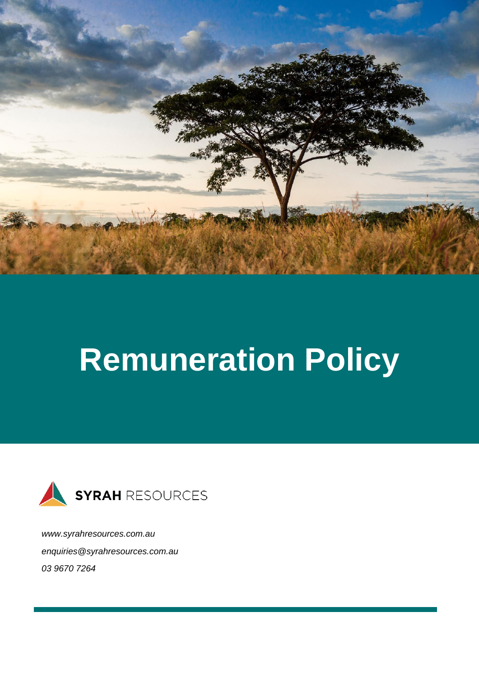

# **Remuneration Policy**



*[www.syrahresources.com.au](http://www.syrahresources.com.au/) enquiries@syrahresources.com.au 03 9670 7264*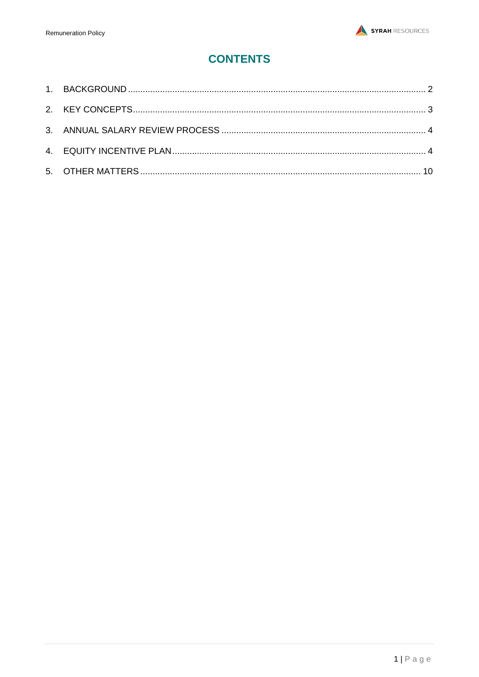# **CONTENTS**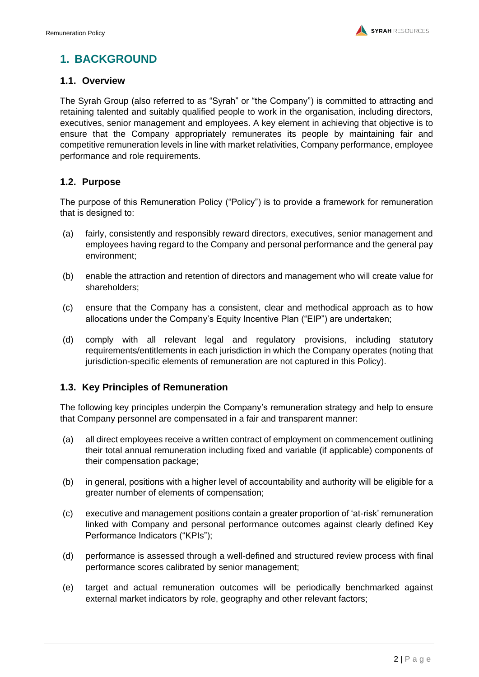# <span id="page-2-0"></span>**1. BACKGROUND**

## **1.1. Overview**

The Syrah Group (also referred to as "Syrah" or "the Company") is committed to attracting and retaining talented and suitably qualified people to work in the organisation, including directors, executives, senior management and employees. A key element in achieving that objective is to ensure that the Company appropriately remunerates its people by maintaining fair and competitive remuneration levels in line with market relativities, Company performance, employee performance and role requirements.

## **1.2. Purpose**

The purpose of this Remuneration Policy ("Policy") is to provide a framework for remuneration that is designed to:

- (a) fairly, consistently and responsibly reward directors, executives, senior management and employees having regard to the Company and personal performance and the general pay environment;
- (b) enable the attraction and retention of directors and management who will create value for shareholders;
- (c) ensure that the Company has a consistent, clear and methodical approach as to how allocations under the Company's Equity Incentive Plan ("EIP") are undertaken;
- (d) comply with all relevant legal and regulatory provisions, including statutory requirements/entitlements in each jurisdiction in which the Company operates (noting that jurisdiction-specific elements of remuneration are not captured in this Policy).

## **1.3. Key Principles of Remuneration**

The following key principles underpin the Company's remuneration strategy and help to ensure that Company personnel are compensated in a fair and transparent manner:

- (a) all direct employees receive a written contract of employment on commencement outlining their total annual remuneration including fixed and variable (if applicable) components of their compensation package;
- (b) in general, positions with a higher level of accountability and authority will be eligible for a greater number of elements of compensation;
- (c) executive and management positions contain a greater proportion of 'at-risk' remuneration linked with Company and personal performance outcomes against clearly defined Key Performance Indicators ("KPIs");
- (d) performance is assessed through a well-defined and structured review process with final performance scores calibrated by senior management;
- (e) target and actual remuneration outcomes will be periodically benchmarked against external market indicators by role, geography and other relevant factors;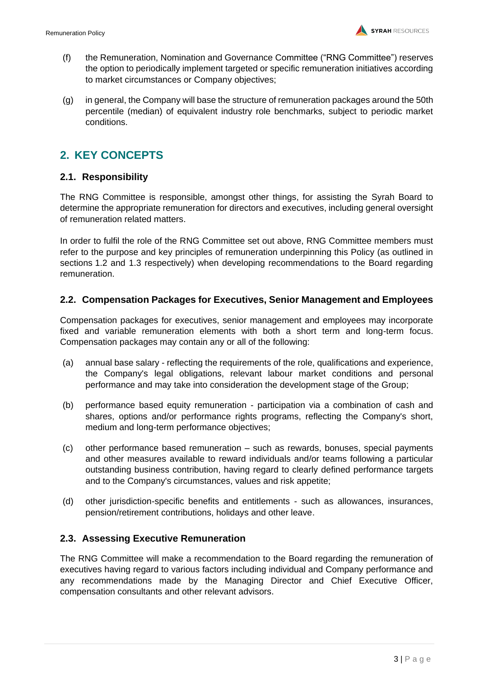- (f) the Remuneration, Nomination and Governance Committee ("RNG Committee") reserves the option to periodically implement targeted or specific remuneration initiatives according to market circumstances or Company objectives;
- (g) in general, the Company will base the structure of remuneration packages around the 50th percentile (median) of equivalent industry role benchmarks, subject to periodic market conditions.

## <span id="page-3-0"></span>**2. KEY CONCEPTS**

## **2.1. Responsibility**

The RNG Committee is responsible, amongst other things, for assisting the Syrah Board to determine the appropriate remuneration for directors and executives, including general oversight of remuneration related matters.

In order to fulfil the role of the RNG Committee set out above, RNG Committee members must refer to the purpose and key principles of remuneration underpinning this Policy (as outlined in sections 1.2 and 1.3 respectively) when developing recommendations to the Board regarding remuneration.

## **2.2. Compensation Packages for Executives, Senior Management and Employees**

Compensation packages for executives, senior management and employees may incorporate fixed and variable remuneration elements with both a short term and long-term focus. Compensation packages may contain any or all of the following:

- (a) annual base salary reflecting the requirements of the role, qualifications and experience, the Company's legal obligations, relevant labour market conditions and personal performance and may take into consideration the development stage of the Group;
- (b) performance based equity remuneration participation via a combination of cash and shares, options and/or performance rights programs, reflecting the Company's short, medium and long-term performance objectives;
- (c) other performance based remuneration such as rewards, bonuses, special payments and other measures available to reward individuals and/or teams following a particular outstanding business contribution, having regard to clearly defined performance targets and to the Company's circumstances, values and risk appetite;
- (d) other jurisdiction-specific benefits and entitlements such as allowances, insurances, pension/retirement contributions, holidays and other leave.

## **2.3. Assessing Executive Remuneration**

The RNG Committee will make a recommendation to the Board regarding the remuneration of executives having regard to various factors including individual and Company performance and any recommendations made by the Managing Director and Chief Executive Officer, compensation consultants and other relevant advisors.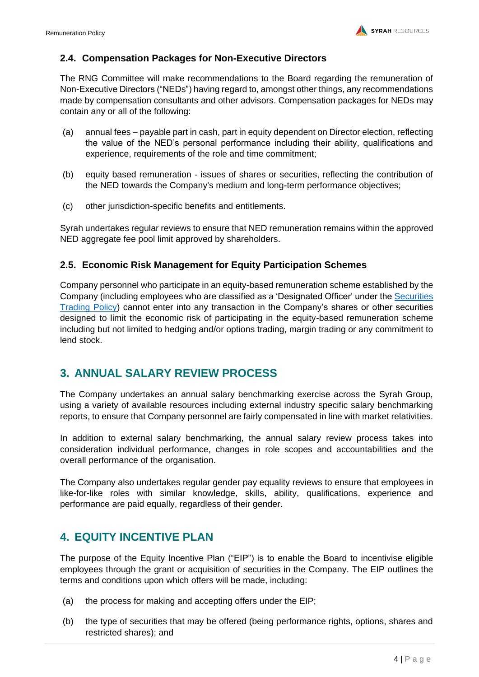## **2.4. Compensation Packages for Non-Executive Directors**

The RNG Committee will make recommendations to the Board regarding the remuneration of Non-Executive Directors ("NEDs") having regard to, amongst other things, any recommendations made by compensation consultants and other advisors. Compensation packages for NEDs may contain any or all of the following:

- (a) annual fees payable part in cash, part in equity dependent on Director election, reflecting the value of the NED's personal performance including their ability, qualifications and experience, requirements of the role and time commitment;
- (b) equity based remuneration issues of shares or securities, reflecting the contribution of the NED towards the Company's medium and long-term performance objectives;
- (c) other jurisdiction-specific benefits and entitlements.

Syrah undertakes regular reviews to ensure that NED remuneration remains within the approved NED aggregate fee pool limit approved by shareholders.

## **2.5. Economic Risk Management for Equity Participation Schemes**

Company personnel who participate in an equity-based remuneration scheme established by the Company (including employees who are classified as a 'Designated Officer' under the [Securities](http://www.syrahresources.com.au/corporate-governance)  [Trading Policy\)](http://www.syrahresources.com.au/corporate-governance) cannot enter into any transaction in the Company's shares or other securities designed to limit the economic risk of participating in the equity-based remuneration scheme including but not limited to hedging and/or options trading, margin trading or any commitment to lend stock.

## <span id="page-4-0"></span>**3. ANNUAL SALARY REVIEW PROCESS**

The Company undertakes an annual salary benchmarking exercise across the Syrah Group, using a variety of available resources including external industry specific salary benchmarking reports, to ensure that Company personnel are fairly compensated in line with market relativities.

In addition to external salary benchmarking, the annual salary review process takes into consideration individual performance, changes in role scopes and accountabilities and the overall performance of the organisation.

The Company also undertakes regular gender pay equality reviews to ensure that employees in like-for-like roles with similar knowledge, skills, ability, qualifications, experience and performance are paid equally, regardless of their gender.

## <span id="page-4-1"></span>**4. EQUITY INCENTIVE PLAN**

The purpose of the Equity Incentive Plan ("EIP") is to enable the Board to incentivise eligible employees through the grant or acquisition of securities in the Company. The EIP outlines the terms and conditions upon which offers will be made, including:

- (a) the process for making and accepting offers under the EIP;
- (b) the type of securities that may be offered (being performance rights, options, shares and restricted shares); and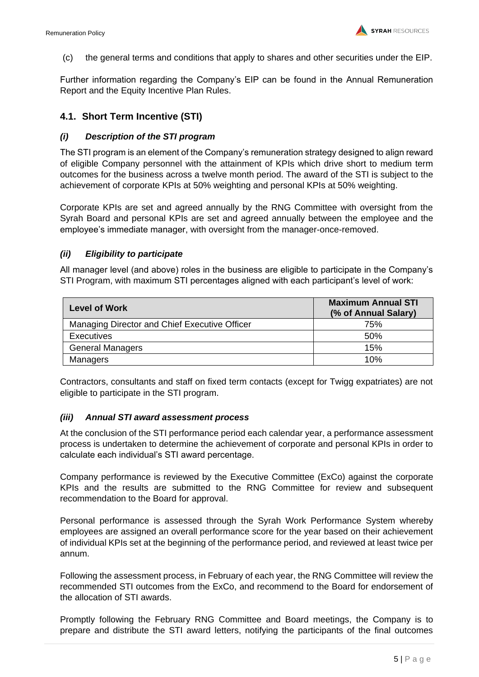(c) the general terms and conditions that apply to shares and other securities under the EIP.

Further information regarding the Company's EIP can be found in the Annual Remuneration Report and the Equity Incentive Plan Rules.

## **4.1. Short Term Incentive (STI)**

## *(i) Description of the STI program*

The STI program is an element of the Company's remuneration strategy designed to align reward of eligible Company personnel with the attainment of KPIs which drive short to medium term outcomes for the business across a twelve month period. The award of the STI is subject to the achievement of corporate KPIs at 50% weighting and personal KPIs at 50% weighting.

Corporate KPIs are set and agreed annually by the RNG Committee with oversight from the Syrah Board and personal KPIs are set and agreed annually between the employee and the employee's immediate manager, with oversight from the manager-once-removed.

#### *(ii) Eligibility to participate*

All manager level (and above) roles in the business are eligible to participate in the Company's STI Program, with maximum STI percentages aligned with each participant's level of work:

| <b>Level of Work</b>                          | <b>Maximum Annual STI</b><br>(% of Annual Salary) |  |  |
|-----------------------------------------------|---------------------------------------------------|--|--|
| Managing Director and Chief Executive Officer | 75%                                               |  |  |
| <b>Executives</b>                             | 50%                                               |  |  |
| <b>General Managers</b>                       | 15%                                               |  |  |
| Managers                                      | 10%                                               |  |  |

Contractors, consultants and staff on fixed term contacts (except for Twigg expatriates) are not eligible to participate in the STI program.

#### *(iii) Annual STI award assessment process*

At the conclusion of the STI performance period each calendar year, a performance assessment process is undertaken to determine the achievement of corporate and personal KPIs in order to calculate each individual's STI award percentage.

Company performance is reviewed by the Executive Committee (ExCo) against the corporate KPIs and the results are submitted to the RNG Committee for review and subsequent recommendation to the Board for approval.

Personal performance is assessed through the Syrah Work Performance System whereby employees are assigned an overall performance score for the year based on their achievement of individual KPIs set at the beginning of the performance period, and reviewed at least twice per annum.

Following the assessment process, in February of each year, the RNG Committee will review the recommended STI outcomes from the ExCo, and recommend to the Board for endorsement of the allocation of STI awards.

Promptly following the February RNG Committee and Board meetings, the Company is to prepare and distribute the STI award letters, notifying the participants of the final outcomes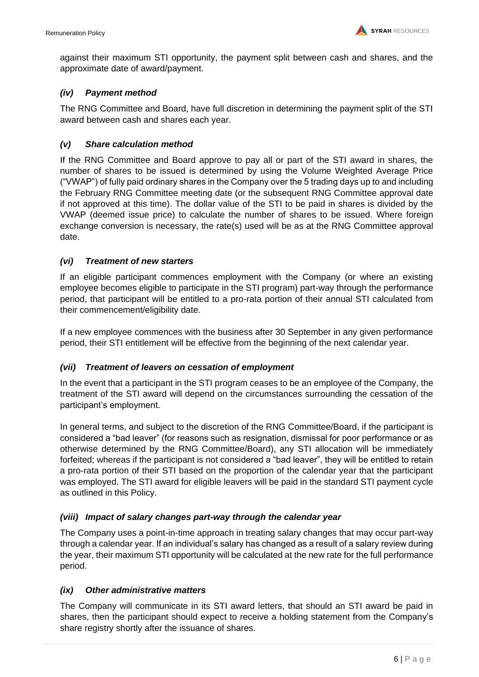against their maximum STI opportunity, the payment split between cash and shares, and the approximate date of award/payment.

## *(iv) Payment method*

The RNG Committee and Board, have full discretion in determining the payment split of the STI award between cash and shares each year.

## *(v) Share calculation method*

If the RNG Committee and Board approve to pay all or part of the STI award in shares, the number of shares to be issued is determined by using the Volume Weighted Average Price ("VWAP") of fully paid ordinary shares in the Company over the 5 trading days up to and including the February RNG Committee meeting date (or the subsequent RNG Committee approval date if not approved at this time). The dollar value of the STI to be paid in shares is divided by the VWAP (deemed issue price) to calculate the number of shares to be issued. Where foreign exchange conversion is necessary, the rate(s) used will be as at the RNG Committee approval date.

## *(vi) Treatment of new starters*

If an eligible participant commences employment with the Company (or where an existing employee becomes eligible to participate in the STI program) part-way through the performance period, that participant will be entitled to a pro-rata portion of their annual STI calculated from their commencement/eligibility date.

If a new employee commences with the business after 30 September in any given performance period, their STI entitlement will be effective from the beginning of the next calendar year.

#### *(vii) Treatment of leavers on cessation of employment*

In the event that a participant in the STI program ceases to be an employee of the Company, the treatment of the STI award will depend on the circumstances surrounding the cessation of the participant's employment.

In general terms, and subject to the discretion of the RNG Committee/Board, if the participant is considered a "bad leaver" (for reasons such as resignation, dismissal for poor performance or as otherwise determined by the RNG Committee/Board), any STI allocation will be immediately forfeited; whereas if the participant is not considered a "bad leaver", they will be entitled to retain a pro-rata portion of their STI based on the proportion of the calendar year that the participant was employed. The STI award for eligible leavers will be paid in the standard STI payment cycle as outlined in this Policy.

#### *(viii) Impact of salary changes part-way through the calendar year*

The Company uses a point-in-time approach in treating salary changes that may occur part-way through a calendar year. If an individual's salary has changed as a result of a salary review during the year, their maximum STI opportunity will be calculated at the new rate for the full performance period.

#### *(ix) Other administrative matters*

The Company will communicate in its STI award letters, that should an STI award be paid in shares, then the participant should expect to receive a holding statement from the Company's share registry shortly after the issuance of shares.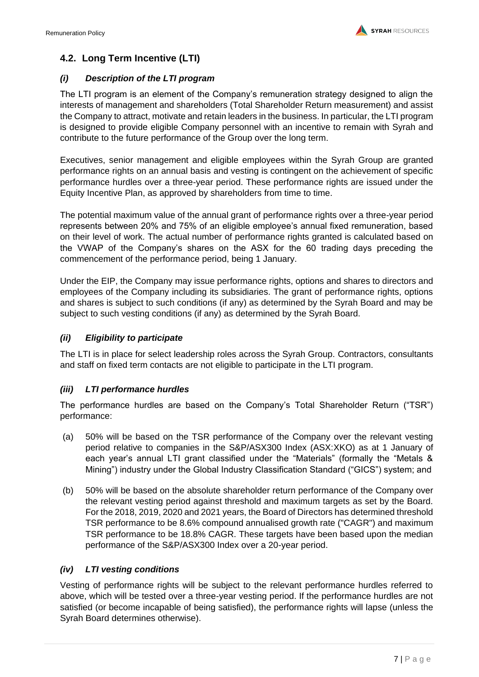## **4.2. Long Term Incentive (LTI)**

## *(i) Description of the LTI program*

The LTI program is an element of the Company's remuneration strategy designed to align the interests of management and shareholders (Total Shareholder Return measurement) and assist the Company to attract, motivate and retain leaders in the business. In particular, the LTI program is designed to provide eligible Company personnel with an incentive to remain with Syrah and contribute to the future performance of the Group over the long term.

Executives, senior management and eligible employees within the Syrah Group are granted performance rights on an annual basis and vesting is contingent on the achievement of specific performance hurdles over a three-year period. These performance rights are issued under the Equity Incentive Plan, as approved by shareholders from time to time.

The potential maximum value of the annual grant of performance rights over a three-year period represents between 20% and 75% of an eligible employee's annual fixed remuneration, based on their level of work. The actual number of performance rights granted is calculated based on the VWAP of the Company's shares on the ASX for the 60 trading days preceding the commencement of the performance period, being 1 January.

Under the EIP, the Company may issue performance rights, options and shares to directors and employees of the Company including its subsidiaries. The grant of performance rights, options and shares is subject to such conditions (if any) as determined by the Syrah Board and may be subject to such vesting conditions (if any) as determined by the Syrah Board.

## *(ii) Eligibility to participate*

The LTI is in place for select leadership roles across the Syrah Group. Contractors, consultants and staff on fixed term contacts are not eligible to participate in the LTI program.

## *(iii) LTI performance hurdles*

The performance hurdles are based on the Company's Total Shareholder Return ("TSR") performance:

- (a) 50% will be based on the TSR performance of the Company over the relevant vesting period relative to companies in the S&P/ASX300 Index (ASX:XKO) as at 1 January of each year's annual LTI grant classified under the "Materials" (formally the "Metals & Mining") industry under the Global Industry Classification Standard ("GICS") system; and
- (b) 50% will be based on the absolute shareholder return performance of the Company over the relevant vesting period against threshold and maximum targets as set by the Board. For the 2018, 2019, 2020 and 2021 years, the Board of Directors has determined threshold TSR performance to be 8.6% compound annualised growth rate ("CAGR") and maximum TSR performance to be 18.8% CAGR. These targets have been based upon the median performance of the S&P/ASX300 Index over a 20-year period.

## *(iv) LTI vesting conditions*

Vesting of performance rights will be subject to the relevant performance hurdles referred to above, which will be tested over a three-year vesting period. If the performance hurdles are not satisfied (or become incapable of being satisfied), the performance rights will lapse (unless the Syrah Board determines otherwise).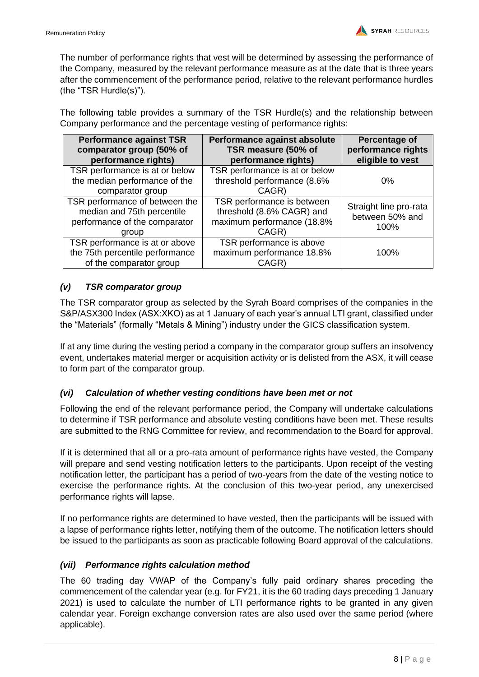The number of performance rights that vest will be determined by assessing the performance of the Company, measured by the relevant performance measure as at the date that is three years after the commencement of the performance period, relative to the relevant performance hurdles (the "TSR Hurdle(s)").

The following table provides a summary of the TSR Hurdle(s) and the relationship between Company performance and the percentage vesting of performance rights:

| <b>Performance against TSR</b><br>comparator group (50% of<br>performance rights)                      | Performance against absolute<br>TSR measure (50% of<br>performance rights)                     | Percentage of<br>performance rights<br>eligible to vest |
|--------------------------------------------------------------------------------------------------------|------------------------------------------------------------------------------------------------|---------------------------------------------------------|
| TSR performance is at or below<br>the median performance of the<br>comparator group                    | TSR performance is at or below<br>threshold performance (8.6%<br>CAGR)                         | 0%                                                      |
| TSR performance of between the<br>median and 75th percentile<br>performance of the comparator<br>group | TSR performance is between<br>threshold (8.6% CAGR) and<br>maximum performance (18.8%<br>CAGR) | Straight line pro-rata<br>between 50% and<br>100%       |
| TSR performance is at or above<br>the 75th percentile performance<br>of the comparator group           | TSR performance is above<br>maximum performance 18.8%<br>CAGR)                                 | 100%                                                    |

## *(v) TSR comparator group*

The TSR comparator group as selected by the Syrah Board comprises of the companies in the S&P/ASX300 Index (ASX:XKO) as at 1 January of each year's annual LTI grant, classified under the "Materials" (formally "Metals & Mining") industry under the GICS classification system.

If at any time during the vesting period a company in the comparator group suffers an insolvency event, undertakes material merger or acquisition activity or is delisted from the ASX, it will cease to form part of the comparator group.

## *(vi) Calculation of whether vesting conditions have been met or not*

Following the end of the relevant performance period, the Company will undertake calculations to determine if TSR performance and absolute vesting conditions have been met. These results are submitted to the RNG Committee for review, and recommendation to the Board for approval.

If it is determined that all or a pro-rata amount of performance rights have vested, the Company will prepare and send vesting notification letters to the participants. Upon receipt of the vesting notification letter, the participant has a period of two-years from the date of the vesting notice to exercise the performance rights. At the conclusion of this two-year period, any unexercised performance rights will lapse.

If no performance rights are determined to have vested, then the participants will be issued with a lapse of performance rights letter, notifying them of the outcome. The notification letters should be issued to the participants as soon as practicable following Board approval of the calculations.

## *(vii) Performance rights calculation method*

The 60 trading day VWAP of the Company's fully paid ordinary shares preceding the commencement of the calendar year (e.g. for FY21, it is the 60 trading days preceding 1 January 2021) is used to calculate the number of LTI performance rights to be granted in any given calendar year. Foreign exchange conversion rates are also used over the same period (where applicable).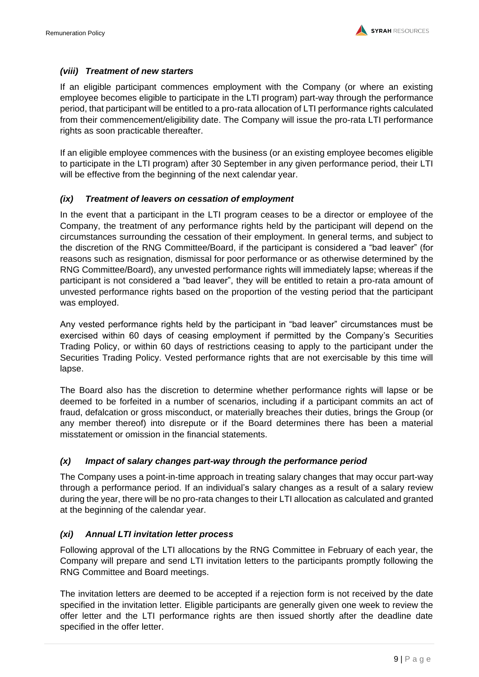## *(viii) Treatment of new starters*

If an eligible participant commences employment with the Company (or where an existing employee becomes eligible to participate in the LTI program) part-way through the performance period, that participant will be entitled to a pro-rata allocation of LTI performance rights calculated from their commencement/eligibility date. The Company will issue the pro-rata LTI performance rights as soon practicable thereafter.

If an eligible employee commences with the business (or an existing employee becomes eligible to participate in the LTI program) after 30 September in any given performance period, their LTI will be effective from the beginning of the next calendar year.

## *(ix) Treatment of leavers on cessation of employment*

In the event that a participant in the LTI program ceases to be a director or employee of the Company, the treatment of any performance rights held by the participant will depend on the circumstances surrounding the cessation of their employment. In general terms, and subject to the discretion of the RNG Committee/Board, if the participant is considered a "bad leaver" (for reasons such as resignation, dismissal for poor performance or as otherwise determined by the RNG Committee/Board), any unvested performance rights will immediately lapse; whereas if the participant is not considered a "bad leaver", they will be entitled to retain a pro-rata amount of unvested performance rights based on the proportion of the vesting period that the participant was employed.

Any vested performance rights held by the participant in "bad leaver" circumstances must be exercised within 60 days of ceasing employment if permitted by the Company's Securities Trading Policy, or within 60 days of restrictions ceasing to apply to the participant under the Securities Trading Policy. Vested performance rights that are not exercisable by this time will lapse.

The Board also has the discretion to determine whether performance rights will lapse or be deemed to be forfeited in a number of scenarios, including if a participant commits an act of fraud, defalcation or gross misconduct, or materially breaches their duties, brings the Group (or any member thereof) into disrepute or if the Board determines there has been a material misstatement or omission in the financial statements.

## *(x) Impact of salary changes part-way through the performance period*

The Company uses a point-in-time approach in treating salary changes that may occur part-way through a performance period. If an individual's salary changes as a result of a salary review during the year, there will be no pro-rata changes to their LTI allocation as calculated and granted at the beginning of the calendar year.

## *(xi) Annual LTI invitation letter process*

Following approval of the LTI allocations by the RNG Committee in February of each year, the Company will prepare and send LTI invitation letters to the participants promptly following the RNG Committee and Board meetings.

The invitation letters are deemed to be accepted if a rejection form is not received by the date specified in the invitation letter. Eligible participants are generally given one week to review the offer letter and the LTI performance rights are then issued shortly after the deadline date specified in the offer letter.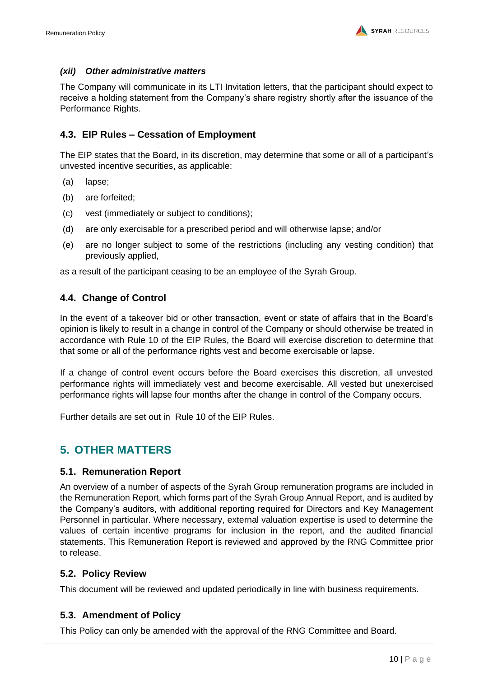## *(xii) Other administrative matters*

The Company will communicate in its LTI Invitation letters, that the participant should expect to receive a holding statement from the Company's share registry shortly after the issuance of the Performance Rights.

## **4.3. EIP Rules – Cessation of Employment**

The EIP states that the Board, in its discretion, may determine that some or all of a participant's unvested incentive securities, as applicable:

- (a) lapse;
- (b) are forfeited;
- (c) vest (immediately or subject to conditions);
- (d) are only exercisable for a prescribed period and will otherwise lapse; and/or
- (e) are no longer subject to some of the restrictions (including any vesting condition) that previously applied,

as a result of the participant ceasing to be an employee of the Syrah Group.

## **4.4. Change of Control**

In the event of a takeover bid or other transaction, event or state of affairs that in the Board's opinion is likely to result in a change in control of the Company or should otherwise be treated in accordance with Rule 10 of the EIP Rules, the Board will exercise discretion to determine that that some or all of the performance rights vest and become exercisable or lapse.

If a change of control event occurs before the Board exercises this discretion, all unvested performance rights will immediately vest and become exercisable. All vested but unexercised performance rights will lapse four months after the change in control of the Company occurs.

Further details are set out in Rule 10 of the EIP Rules.

## <span id="page-10-0"></span>**5. OTHER MATTERS**

## **5.1. Remuneration Report**

An overview of a number of aspects of the Syrah Group remuneration programs are included in the Remuneration Report, which forms part of the Syrah Group Annual Report, and is audited by the Company's auditors, with additional reporting required for Directors and Key Management Personnel in particular. Where necessary, external valuation expertise is used to determine the values of certain incentive programs for inclusion in the report, and the audited financial statements. This Remuneration Report is reviewed and approved by the RNG Committee prior to release.

## **5.2. Policy Review**

This document will be reviewed and updated periodically in line with business requirements.

## **5.3. Amendment of Policy**

This Policy can only be amended with the approval of the RNG Committee and Board.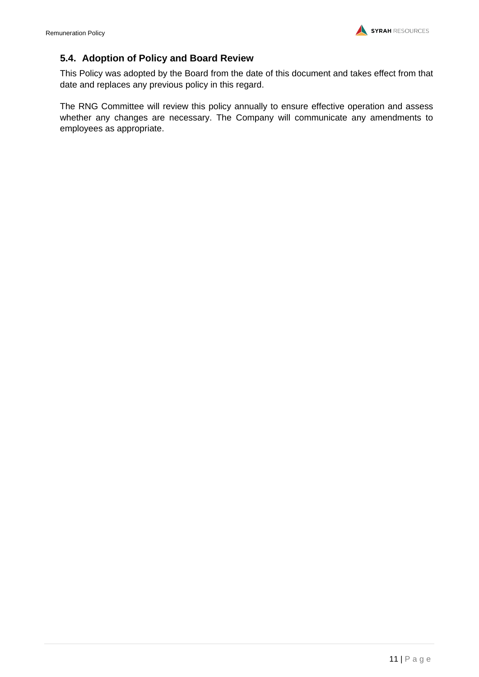## **5.4. Adoption of Policy and Board Review**

This Policy was adopted by the Board from the date of this document and takes effect from that date and replaces any previous policy in this regard.

The RNG Committee will review this policy annually to ensure effective operation and assess whether any changes are necessary. The Company will communicate any amendments to employees as appropriate.